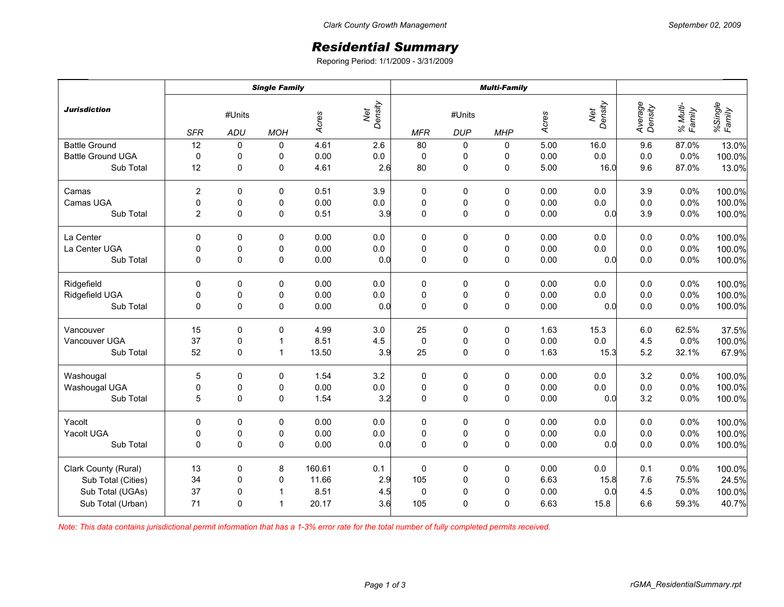## *Residential Summary*

Reporing Period: 1/1/2009 - 3/31/2009

|                          | <b>Single Family</b>                      |              |              |                |            | <b>Multi-Family</b>  |             |             |      |                    |                    |                   |        |
|--------------------------|-------------------------------------------|--------------|--------------|----------------|------------|----------------------|-------------|-------------|------|--------------------|--------------------|-------------------|--------|
| <b>Jurisdiction</b>      | #Units<br><b>SFR</b><br>ADU<br><b>MOH</b> |              | Acres        | Net<br>Density | <b>MFR</b> | #Units<br><b>DUP</b> | <b>MHP</b>  | Acres       |      | Average<br>Density | % Multi-<br>Family | %Single<br>Family |        |
| <b>Battle Ground</b>     | 12                                        | 0            | 0            | 4.61           | 2.6        | 80                   | 0           | 0           | 5.00 | 16.0               | 9.6                | 87.0%             | 13.0%  |
| <b>Battle Ground UGA</b> | $\pmb{0}$                                 | 0            | 0            | 0.00           | $0.0\,$    | $\pmb{0}$            | 0           | 0           | 0.00 | 0.0                | $0.0\,$            | 0.0%              | 100.0% |
| Sub Total                | 12                                        | $\mathbf 0$  | 0            | 4.61           | 2.6        | 80                   | $\mathsf 0$ | $\pmb{0}$   | 5.00 | 16.0               | 9.6                | 87.0%             | 13.0%  |
| Camas                    | 2                                         | 0            | 0            | 0.51           | 3.9        | 0                    | 0           | 0           | 0.00 | 0.0                | 3.9                | 0.0%              | 100.0% |
| Camas UGA                | 0                                         | 0            | 0            | 0.00           | $0.0\,$    | $\pmb{0}$            | 0           | 0           | 0.00 | 0.0                | $0.0\,$            | 0.0%              | 100.0% |
| Sub Total                | 2                                         | $\Omega$     | 0            | 0.51           | 3.9        | $\mathbf 0$          | $\pmb{0}$   | $\mathbf 0$ | 0.00 | 0.0                | 3.9                | 0.0%              | 100.0% |
| La Center                | 0                                         | 0            | 0            | 0.00           | $0.0\,$    | 0                    | 0           | 0           | 0.00 | 0.0                | 0.0                | 0.0%              | 100.0% |
| La Center UGA            | 0                                         | $\pmb{0}$    | 0            | 0.00           | $0.0\,$    | $\pmb{0}$            | $\pmb{0}$   | $\pmb{0}$   | 0.00 | 0.0                | $0.0\,$            | 0.0%              | 100.0% |
| Sub Total                | $\mathbf 0$                               | $\mathbf 0$  | $\mathbf 0$  | 0.00           | 0.0        | $\mathbf 0$          | $\pmb{0}$   | $\pmb{0}$   | 0.00 | 0.0                | 0.0                | 0.0%              | 100.0% |
| Ridgefield               | 0                                         | 0            | 0            | 0.00           | 0.0        | 0                    | 0           | 0           | 0.00 | 0.0                | 0.0                | 0.0%              | 100.0% |
| Ridgefield UGA           | 0                                         | 0            | 0            | 0.00           | $0.0\,$    | $\pmb{0}$            | 0           | 0           | 0.00 | 0.0                | $0.0\,$            | 0.0%              | 100.0% |
| Sub Total                | 0                                         | 0            | 0            | 0.00           | 0.0        | $\mathbf 0$          | $\mathsf 0$ | $\pmb{0}$   | 0.00 | 0.0                | 0.0                | 0.0%              | 100.0% |
| Vancouver                | 15                                        | 0            | 0            | 4.99           | 3.0        | 25                   | 0           | 0           | 1.63 | 15.3               | $6.0\,$            | 62.5%             | 37.5%  |
| Vancouver UGA            | 37                                        | 0            | $\mathbf{1}$ | 8.51           | 4.5        | $\pmb{0}$            | 0           | 0           | 0.00 | 0.0                | 4.5                | 0.0%              | 100.0% |
| Sub Total                | 52                                        | $\Omega$     | $\mathbf{1}$ | 13.50          | 3.9        | 25                   | $\pmb{0}$   | $\mathbf 0$ | 1.63 | 15.3               | 5.2                | 32.1%             | 67.9%  |
| Washougal                | 5                                         | $\Omega$     | 0            | 1.54           | 3.2        | 0                    | 0           | 0           | 0.00 | 0.0                | 3.2                | 0.0%              | 100.0% |
| Washougal UGA            | 0                                         | 0            | 0            | 0.00           | $0.0\,$    | $\pmb{0}$            | $\pmb{0}$   | $\pmb{0}$   | 0.00 | $0.0\,$            | $0.0\,$            | 0.0%              | 100.0% |
| Sub Total                | 5                                         | 0            | 0            | 1.54           | 3.2        | $\mathbf 0$          | $\mathsf 0$ | $\pmb{0}$   | 0.00 | 0.0                | 3.2                | 0.0%              | 100.0% |
| Yacolt                   | $\Omega$                                  | 0            | 0            | 0.00           | 0.0        | 0                    | 0           | 0           | 0.00 | 0.0                | 0.0                | 0.0%              | 100.0% |
| Yacolt UGA               | 0                                         | 0            | 0            | 0.00           | $0.0\,$    | $\pmb{0}$            | $\pmb{0}$   | 0           | 0.00 | 0.0                | $0.0\,$            | 0.0%              | 100.0% |
| Sub Total                | $\Omega$                                  | $\mathbf{0}$ | 0            | 0.00           | 0.0        | $\Omega$             | $\mathbf 0$ | $\mathbf 0$ | 0.00 | 0.0                | 0.0                | 0.0%              | 100.0% |
| Clark County (Rural)     | 13                                        | 0            | 8            | 160.61         | 0.1        | $\pmb{0}$            | $\pmb{0}$   | $\pmb{0}$   | 0.00 | 0.0                | 0.1                | 0.0%              | 100.0% |
| Sub Total (Cities)       | 34                                        | $\pmb{0}$    | 0            | 11.66          | 2.9        | 105                  | $\pmb{0}$   | $\pmb{0}$   | 6.63 | 15.8               | 7.6                | 75.5%             | 24.5%  |
| Sub Total (UGAs)         | 37                                        | 0            | $\mathbf{1}$ | 8.51           | 4.5        | $\pmb{0}$            | $\pmb{0}$   | 0           | 0.00 | 0.0                | 4.5                | 0.0%              | 100.0% |
| Sub Total (Urban)        | 71                                        | $\mathbf{0}$ | $\mathbf{1}$ | 20.17          | 3.6        | 105                  | 0           | 0           | 6.63 | 15.8               | 6.6                | 59.3%             | 40.7%  |

*Note: This data contains jurisdictional permit information that has a 1-3% error rate for the total number of fully completed permits received.*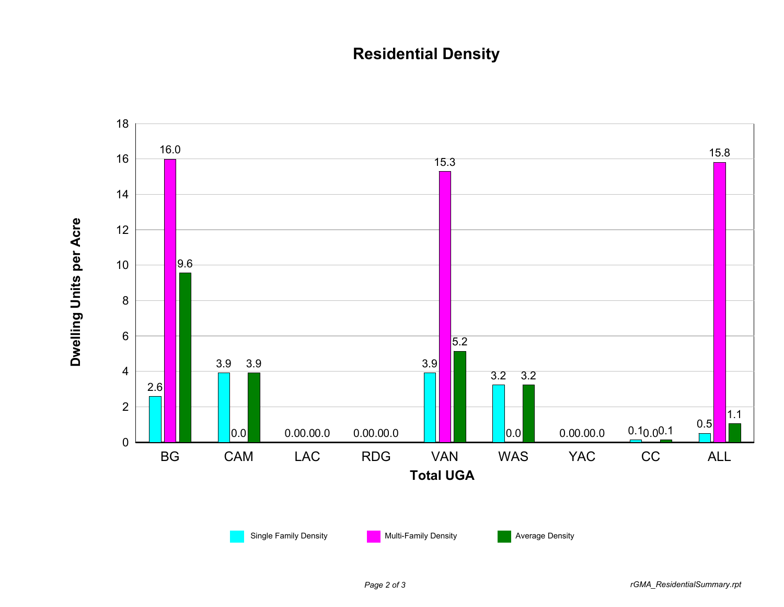## **Residential Density**